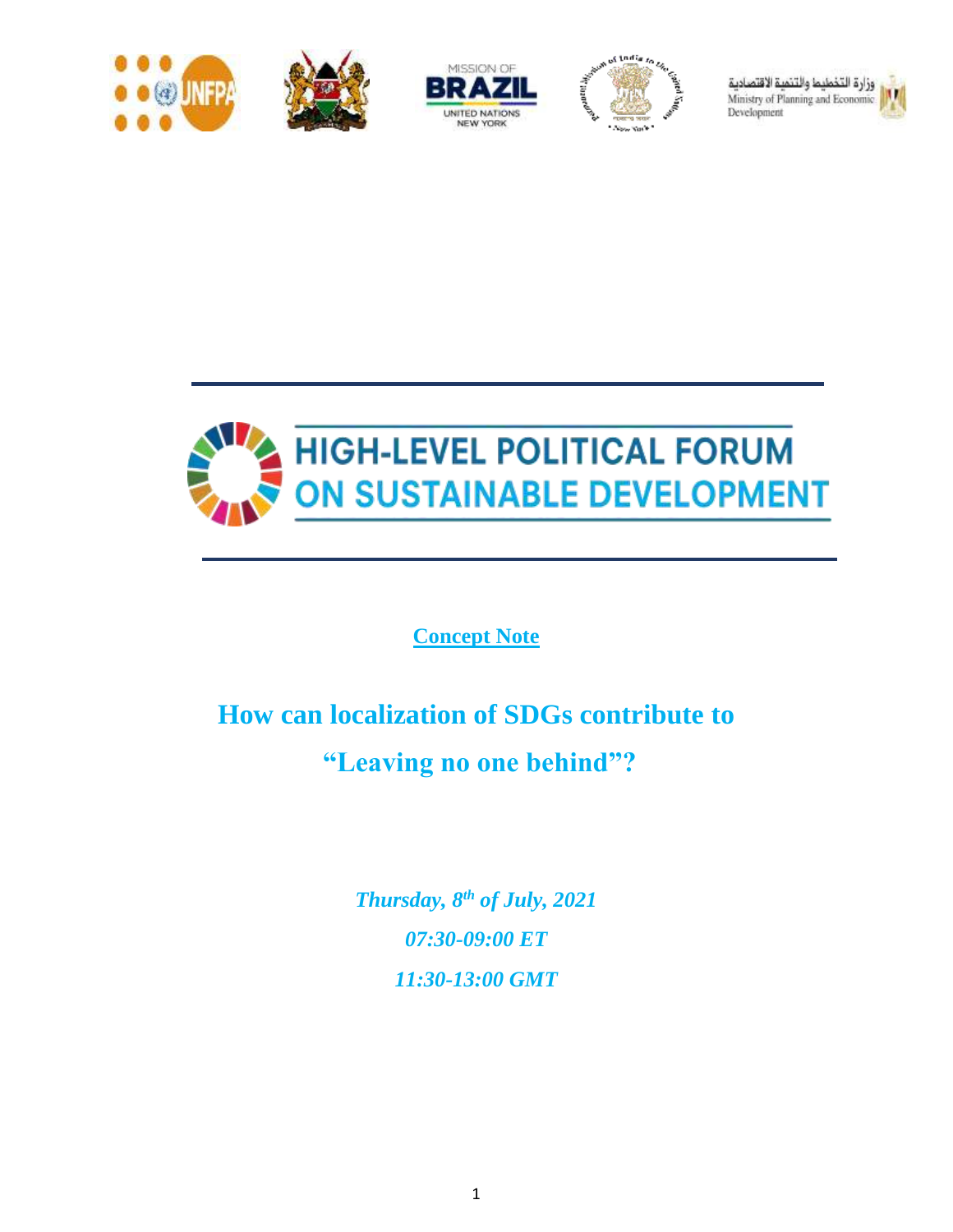







وزارة التخطيط والتنمية الاقتصادية Ministry of Planning and Economic Development





**Concept Note**

# **How can localization of SDGs contribute to "Leaving no one behind"?**

*Thursday, 8th of July, 2021 07:30-09:00 ET 11:30-13:00 GMT*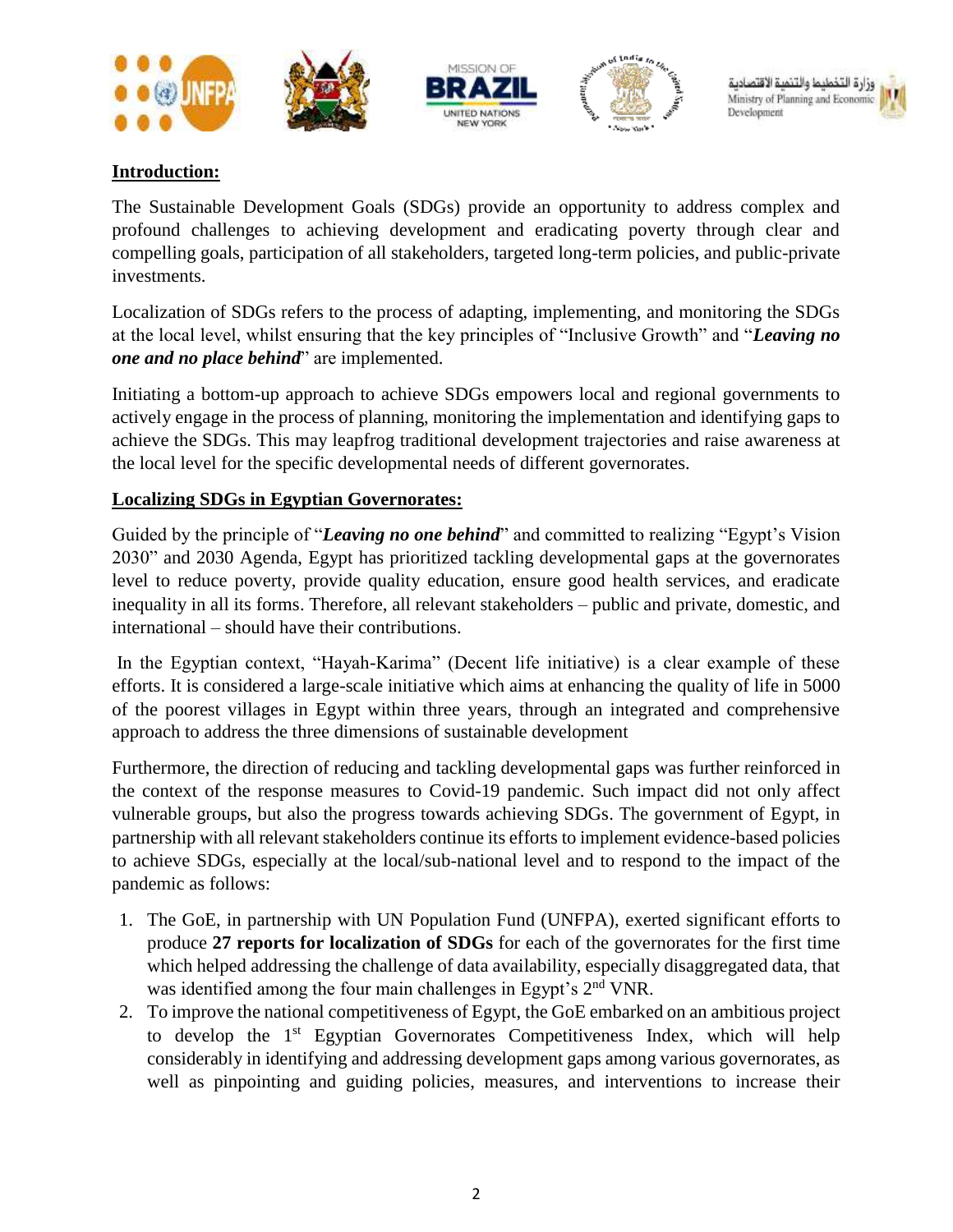

### **Introduction:**

The Sustainable Development Goals (SDGs) provide an opportunity to address complex and profound challenges to achieving development and eradicating poverty through clear and compelling goals, participation of all stakeholders, targeted long-term policies, and public-private investments.

Localization of SDGs refers to the process of adapting, implementing, and monitoring the SDGs at the local level, whilst ensuring that the key principles of "Inclusive Growth" and "*Leaving no one and no place behind*" are implemented.

Initiating a bottom-up approach to achieve SDGs empowers local and regional governments to actively engage in the process of planning, monitoring the implementation and identifying gaps to achieve the SDGs. This may leapfrog traditional development trajectories and raise awareness at the local level for the specific developmental needs of different governorates.

#### **Localizing SDGs in Egyptian Governorates:**

Guided by the principle of "*Leaving no one behind*" and committed to realizing "Egypt's Vision 2030" and 2030 Agenda, Egypt has prioritized tackling developmental gaps at the governorates level to reduce poverty, provide quality education, ensure good health services, and eradicate inequality in all its forms. Therefore, all relevant stakeholders – public and private, domestic, and international – should have their contributions.

In the Egyptian context, "Hayah-Karima" (Decent life initiative) is a clear example of these efforts. It is considered a large-scale initiative which aims at enhancing the quality of life in 5000 of the poorest villages in Egypt within three years, through an integrated and comprehensive approach to address the three dimensions of sustainable development

Furthermore, the direction of reducing and tackling developmental gaps was further reinforced in the context of the response measures to Covid-19 pandemic. Such impact did not only affect vulnerable groups, but also the progress towards achieving SDGs. The government of Egypt, in partnership with all relevant stakeholders continue its efforts to implement evidence-based policies to achieve SDGs, especially at the local/sub-national level and to respond to the impact of the pandemic as follows:

- 1. The GoE, in partnership with UN Population Fund (UNFPA), exerted significant efforts to produce **27 reports for localization of SDGs** for each of the governorates for the first time which helped addressing the challenge of data availability, especially disaggregated data, that was identified among the four main challenges in Egypt's 2<sup>nd</sup> VNR.
- 2. To improve the national competitiveness of Egypt, the GoE embarked on an ambitious project to develop the  $1<sup>st</sup>$  Egyptian Governorates Competitiveness Index, which will help considerably in identifying and addressing development gaps among various governorates, as well as pinpointing and guiding policies, measures, and interventions to increase their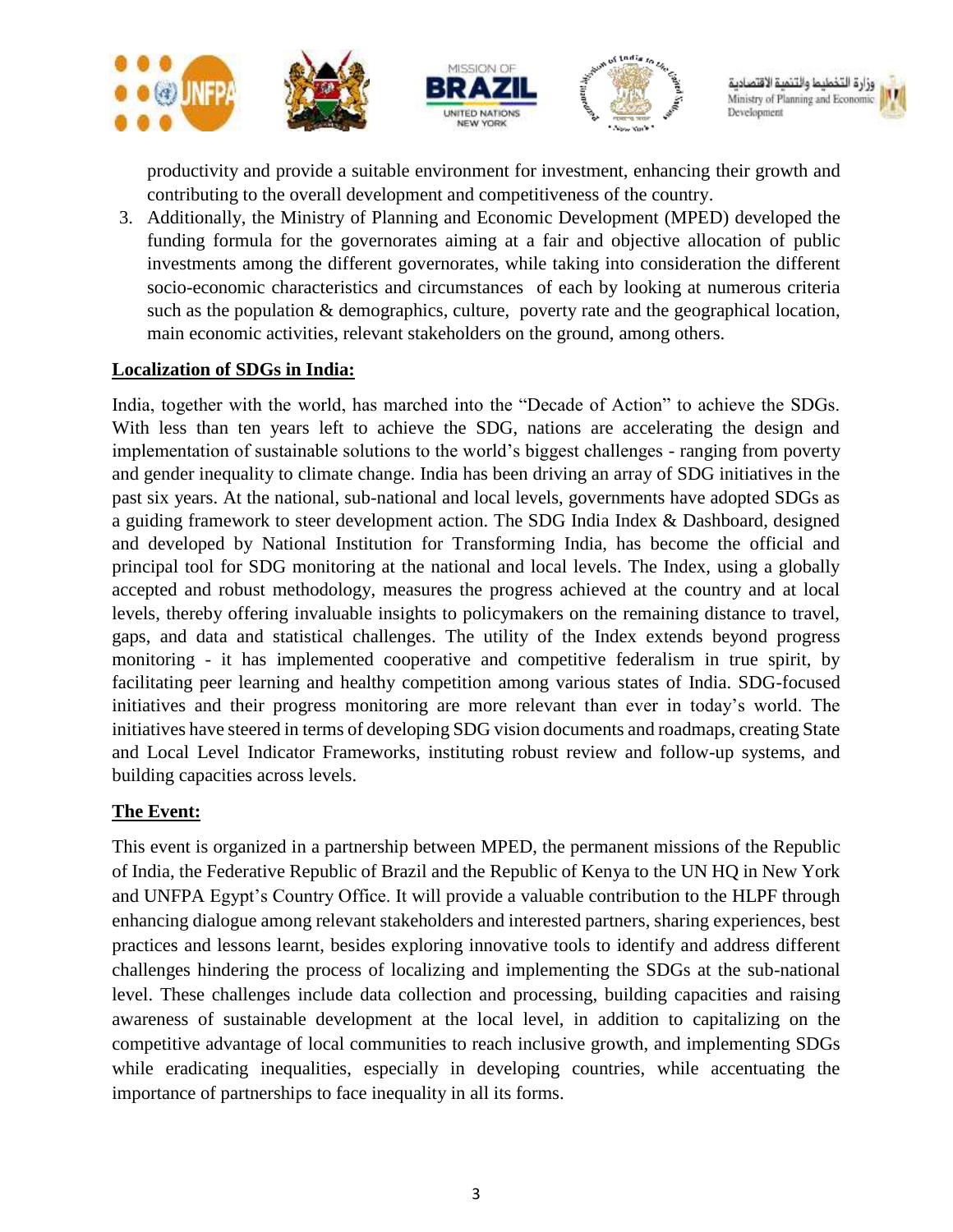

Ministry of Planning and Econon Development

productivity and provide a suitable environment for investment, enhancing their growth and contributing to the overall development and competitiveness of the country.

3. Additionally, the Ministry of Planning and Economic Development (MPED) developed the funding formula for the governorates aiming at a fair and objective allocation of public investments among the different governorates, while taking into consideration the different socio-economic characteristics and circumstances of each by looking at numerous criteria such as the population & demographics, culture, poverty rate and the geographical location, main economic activities, relevant stakeholders on the ground, among others.

#### **Localization of SDGs in India:**

India, together with the world, has marched into the "Decade of Action" to achieve the SDGs. With less than ten years left to achieve the SDG, nations are accelerating the design and implementation of sustainable solutions to the world's biggest challenges - ranging from poverty and gender inequality to climate change. India has been driving an array of SDG initiatives in the past six years. At the national, sub-national and local levels, governments have adopted SDGs as a guiding framework to steer development action. The SDG India Index & Dashboard, designed and developed by National Institution for Transforming India, has become the official and principal tool for SDG monitoring at the national and local levels. The Index, using a globally accepted and robust methodology, measures the progress achieved at the country and at local levels, thereby offering invaluable insights to policymakers on the remaining distance to travel, gaps, and data and statistical challenges. The utility of the Index extends beyond progress monitoring - it has implemented cooperative and competitive federalism in true spirit, by facilitating peer learning and healthy competition among various states of India. SDG-focused initiatives and their progress monitoring are more relevant than ever in today's world. The initiatives have steered in terms of developing SDG vision documents and roadmaps, creating State and Local Level Indicator Frameworks, instituting robust review and follow-up systems, and building capacities across levels.

## **The Event:**

This event is organized in a partnership between MPED, the permanent missions of the Republic of India, the Federative Republic of Brazil and the Republic of Kenya to the UN HQ in New York and UNFPA Egypt's Country Office. It will provide a valuable contribution to the HLPF through enhancing dialogue among relevant stakeholders and interested partners, sharing experiences, best practices and lessons learnt, besides exploring innovative tools to identify and address different challenges hindering the process of localizing and implementing the SDGs at the sub-national level. These challenges include data collection and processing, building capacities and raising awareness of sustainable development at the local level, in addition to capitalizing on the competitive advantage of local communities to reach inclusive growth, and implementing SDGs while eradicating inequalities, especially in developing countries, while accentuating the importance of partnerships to face inequality in all its forms.